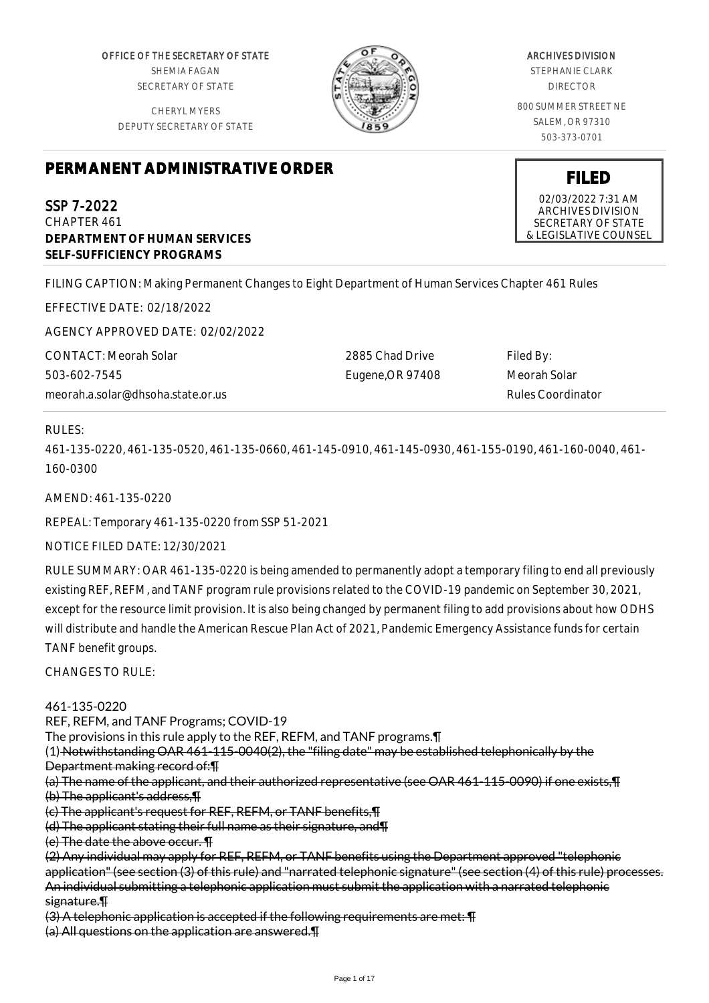OFFICE OF THE SECRETARY OF STATE SHEMIA FAGAN SECRETARY OF STATE

CHERYL MYERS DEPUTY SECRETARY OF STATE



# ARCHIVES DIVISION

STEPHANIE CLARK DIRECTOR

800 SUMMER STREET NE SALEM, OR 97310 503-373-0701

# **PERMANENT ADMINISTRATIVE ORDER**

SSP 7-2022 CHAPTER 461 **DEPARTMENT OF HUMAN SERVICES SELF-SUFFICIENCY PROGRAMS**

FILING CAPTION: Making Permanent Changes to Eight Department of Human Services Chapter 461 Rules

EFFECTIVE DATE: 02/18/2022

AGENCY APPROVED DATE: 02/02/2022

CONTACT: Meorah Solar 503-602-7545 meorah.a.solar@dhsoha.state.or.us

2885 Chad Drive Eugene,OR 97408 Filed By: Meorah Solar Rules Coordinator

# RULES:

461-135-0220, 461-135-0520, 461-135-0660, 461-145-0910, 461-145-0930, 461-155-0190, 461-160-0040, 461- 160-0300

AMEND: 461-135-0220

REPEAL: Temporary 461-135-0220 from SSP 51-2021

NOTICE FILED DATE: 12/30/2021

RULE SUMMARY: OAR 461-135-0220 is being amended to permanently adopt a temporary filing to end all previously existing REF, REFM, and TANF program rule provisions related to the COVID-19 pandemic on September 30, 2021, except for the resource limit provision. It is also being changed by permanent filing to add provisions about how ODHS will distribute and handle the American Rescue Plan Act of 2021, Pandemic Emergency Assistance funds for certain TANF benefit groups.

CHANGES TO RULE:

461-135-0220

REF, REFM, and TANF Programs; COVID-19

The provisions in this rule apply to the REF, REFM, and TANF programs.¶

(1) Notwithstanding OAR 461-115-0040(2), the "filing date" may be established telephonically by the

Department making record of:¶

(a) The name of the applicant, and their authorized representative (see OAR 461-115-0090) if one exists,¶ (b) The applicant's address,¶

(c) The applicant's request for REF, REFM, or TANF benefits,¶

(d) The applicant stating their full name as their signature, and¶

(e) The date the above occur. ¶

(2) Any individual may apply for REF, REFM, or TANF benefits using the Department approved "telephonic application" (see section (3) of this rule) and "narrated telephonic signature" (see section (4) of this rule) processes. An individual submitting a telephonic application must submit the application with a narrated telephonic signature.¶

(3) A telephonic application is accepted if the following requirements are met: ¶

(a) All questions on the application are answered.¶

# **FILED**

02/03/2022 7:31 AM ARCHIVES DIVISION SECRETARY OF STATE & LEGISLATIVE COUNSEL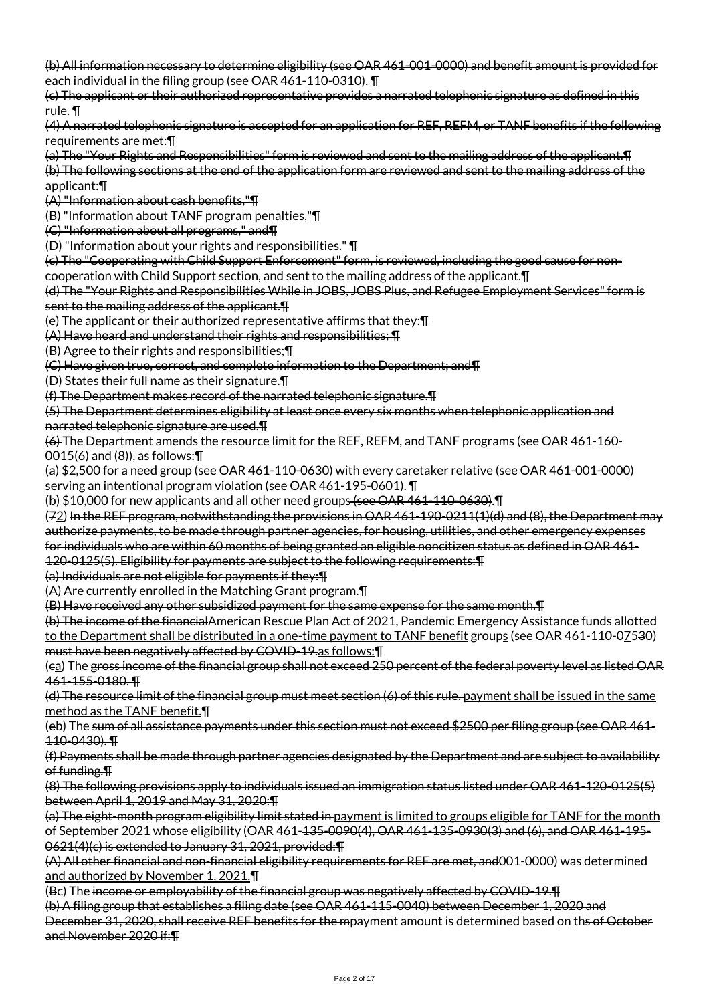(b) All information necessary to determine eligibility (see OAR 461-001-0000) and benefit amount is provided for each individual in the filing group (see OAR 461-110-0310). ¶

(c) The applicant or their authorized representative provides a narrated telephonic signature as defined in this rule. ¶

(4) A narrated telephonic signature is accepted for an application for REF, REFM, or TANF benefits if the following requirements are met:¶

(a) The "Your Rights and Responsibilities" form is reviewed and sent to the mailing address of the applicant.¶

(b) The following sections at the end of the application form are reviewed and sent to the mailing address of the applicant:¶

(A) "Information about cash benefits,"¶

(B) "Information about TANF program penalties,"¶

(C) "Information about all programs," and¶

(D) "Information about your rights and responsibilities." ¶

(c) The "Cooperating with Child Support Enforcement" form, is reviewed, including the good cause for noncooperation with Child Support section, and sent to the mailing address of the applicant.¶

(d) The "Your Rights and Responsibilities While in JOBS, JOBS Plus, and Refugee Employment Services" form is sent to the mailing address of the applicant.

(e) The applicant or their authorized representative affirms that they:¶

(A) Have heard and understand their rights and responsibilities; ¶

(B) Agree to their rights and responsibilities;¶

(C) Have given true, correct, and complete information to the Department; and¶

(D) States their full name as their signature.¶

(f) The Department makes record of the narrated telephonic signature.¶

(5) The Department determines eligibility at least once every six months when telephonic application and narrated telephonic signature are used.¶

(6) The Department amends the resource limit for the REF, REFM, and TANF programs (see OAR 461-160- 0015(6) and (8)), as follows:¶

(a) \$2,500 for a need group (see OAR 461-110-0630) with every caretaker relative (see OAR 461-001-0000) serving an intentional program violation (see OAR 461-195-0601). ¶

(b) \$10,000 for new applicants and all other need groups (see OAR 461-110-0630).¶

(72) In the REF program, notwithstanding the provisions in OAR 461-190-0211(1)(d) and (8), the Department may authorize payments, to be made through partner agencies, for housing, utilities, and other emergency expenses for individuals who are within 60 months of being granted an eligible noncitizen status as defined in OAR 461-

120-0125(5). Eligibility for payments are subject to the following requirements:¶

(a) Individuals are not eligible for payments if they:¶

(A) Are currently enrolled in the Matching Grant program.¶

(B) Have received any other subsidized payment for the same expense for the same month.¶

(b) The income of the financialAmerican Rescue Plan Act of 2021, Pandemic Emergency Assistance funds allotted to the Department shall be distributed in a one-time payment to TANF benefit groups (see OAR 461-110-07530) must have been negatively affected by COVID-19.as follows:¶

(ca) The gross income of the financial group shall not exceed 250 percent of the federal poverty level as listed OAR 461-155-0180. ¶

(d) The resource limit of the financial group must meet section (6) of this rule. payment shall be issued in the same method as the TANF benefit.¶

(eb) The sum of all assistance payments under this section must not exceed \$2500 per filing group (see OAR 461- 110-0430). ¶

(f) Payments shall be made through partner agencies designated by the Department and are subject to availability of funding.¶

(8) The following provisions apply to individuals issued an immigration status listed under OAR 461-120-0125(5) between April 1, 2019 and May 31, 2020:¶

(a) The eight-month program eligibility limit stated in payment is limited to groups eligible for TANF for the month of September 2021 whose eligibility (OAR 461-135-0090(4), OAR 461-135-0930(3) and (6), and OAR 461-195- 0621(4)(c) is extended to January 31, 2021, provided:¶

(A) All other financial and non-financial eligibility requirements for REF are met, and001-0000) was determined and authorized by November 1, 2021.¶

(Bc) The income or employability of the financial group was negatively affected by COVID-19. The (b) A filing group that establishes a filing date (see OAR 461-115-0040) between December 1, 2020 and December 31, 2020, shall receive REF benefits for the mpayment amount is determined based on ths of October and November 2020 if:¶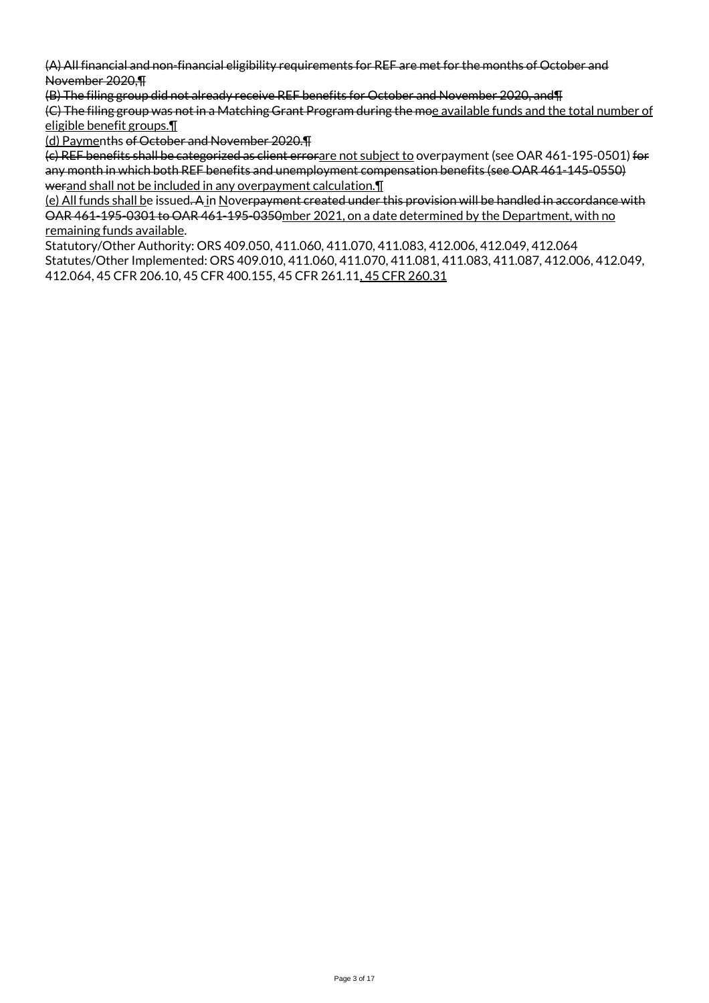(A) All financial and non-financial eligibility requirements for REF are met for the months of October and November 2020,¶

(B) The filing group did not already receive REF benefits for October and November 2020, and¶ (C) The filing group was not in a Matching Grant Program during the moe available funds and the total number of eligible benefit groups.¶

(d) Paymenths of October and November 2020.¶

(c) REF benefits shall be categorized as client errorare not subject to overpayment (see OAR 461-195-0501) for any month in which both REF benefits and unemployment compensation benefits (see OAR 461-145-0550) werand shall not be included in any overpayment calculation.¶

(e) All funds shall be issued. A in Noverpayment created under this provision will be handled in accordance with OAR 461-195-0301 to OAR 461-195-0350mber 2021, on a date determined by the Department, with no remaining funds available.

Statutory/Other Authority: ORS 409.050, 411.060, 411.070, 411.083, 412.006, 412.049, 412.064 Statutes/Other Implemented: ORS 409.010, 411.060, 411.070, 411.081, 411.083, 411.087, 412.006, 412.049, 412.064, 45 CFR 206.10, 45 CFR 400.155, 45 CFR 261.11, 45 CFR 260.31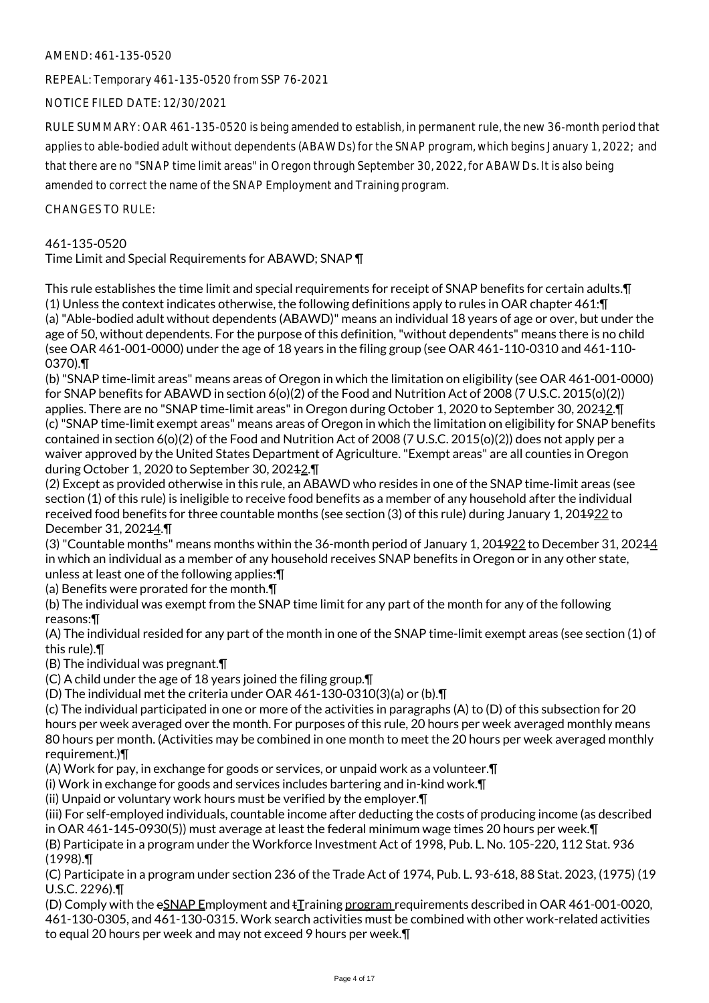# AMEND: 461-135-0520

REPEAL: Temporary 461-135-0520 from SSP 76-2021

NOTICE FILED DATE: 12/30/2021

RULE SUMMARY: OAR 461-135-0520 is being amended to establish, in permanent rule, the new 36-month period that applies to able-bodied adult without dependents (ABAWDs) for the SNAP program, which begins January 1, 2022; and that there are no "SNAP time limit areas" in Oregon through September 30, 2022, for ABAWDs. It is also being amended to correct the name of the SNAP Employment and Training program.

CHANGES TO RULE:

# 461-135-0520

# Time Limit and Special Requirements for ABAWD; SNAP ¶

This rule establishes the time limit and special requirements for receipt of SNAP benefits for certain adults.¶ (1) Unless the context indicates otherwise, the following definitions apply to rules in OAR chapter 461:¶ (a) "Able-bodied adult without dependents (ABAWD)" means an individual 18 years of age or over, but under the age of 50, without dependents. For the purpose of this definition, "without dependents" means there is no child (see OAR 461-001-0000) under the age of 18 years in the filing group (see OAR 461-110-0310 and 461-110- 0370).¶

(b) "SNAP time-limit areas" means areas of Oregon in which the limitation on eligibility (see OAR 461-001-0000) for SNAP benefits for ABAWD in section 6(o)(2) of the Food and Nutrition Act of 2008 (7 U.S.C. 2015(o)(2)) applies. There are no "SNAP time-limit areas" in Oregon during October 1, 2020 to September 30, 20242. T (c) "SNAP time-limit exempt areas" means areas of Oregon in which the limitation on eligibility for SNAP benefits contained in section 6(o)(2) of the Food and Nutrition Act of 2008 (7 U.S.C. 2015(o)(2)) does not apply per a waiver approved by the United States Department of Agriculture. "Exempt areas" are all counties in Oregon during October 1, 2020 to September 30, 20242. T

(2) Except as provided otherwise in this rule, an ABAWD who resides in one of the SNAP time-limit areas (see section (1) of this rule) is ineligible to receive food benefits as a member of any household after the individual received food benefits for three countable months (see section (3) of this rule) during January 1, 20<del>1922</del> to December 31, 20244.¶

(3) "Countable months" means months within the 36-month period of January 1, 201922 to December 31, 20214 in which an individual as a member of any household receives SNAP benefits in Oregon or in any other state, unless at least one of the following applies:¶

(a) Benefits were prorated for the month.¶

(b) The individual was exempt from the SNAP time limit for any part of the month for any of the following reasons:¶

(A) The individual resided for any part of the month in one of the SNAP time-limit exempt areas (see section (1) of this rule).¶

(B) The individual was pregnant.¶

(C) A child under the age of 18 years joined the filing group.¶

(D) The individual met the criteria under OAR 461-130-0310(3)(a) or (b).¶

(c) The individual participated in one or more of the activities in paragraphs (A) to (D) of this subsection for 20 hours per week averaged over the month. For purposes of this rule, 20 hours per week averaged monthly means 80 hours per month. (Activities may be combined in one month to meet the 20 hours per week averaged monthly requirement.)¶

(A) Work for pay, in exchange for goods or services, or unpaid work as a volunteer.¶

(i) Work in exchange for goods and services includes bartering and in-kind work.¶

(ii) Unpaid or voluntary work hours must be verified by the employer.¶

(iii) For self-employed individuals, countable income after deducting the costs of producing income (as described in OAR 461-145-0930(5)) must average at least the federal minimum wage times 20 hours per week.¶

(B) Participate in a program under the Workforce Investment Act of 1998, Pub. L. No. 105-220, 112 Stat. 936 (1998).¶

(C) Participate in a program under section 236 of the Trade Act of 1974, Pub. L. 93-618, 88 Stat. 2023, (1975) (19 U.S.C. 2296).¶

(D) Comply with the eSNAP Employment and tTraining program requirements described in OAR 461-001-0020, 461-130-0305, and 461-130-0315. Work search activities must be combined with other work-related activities to equal 20 hours per week and may not exceed 9 hours per week.¶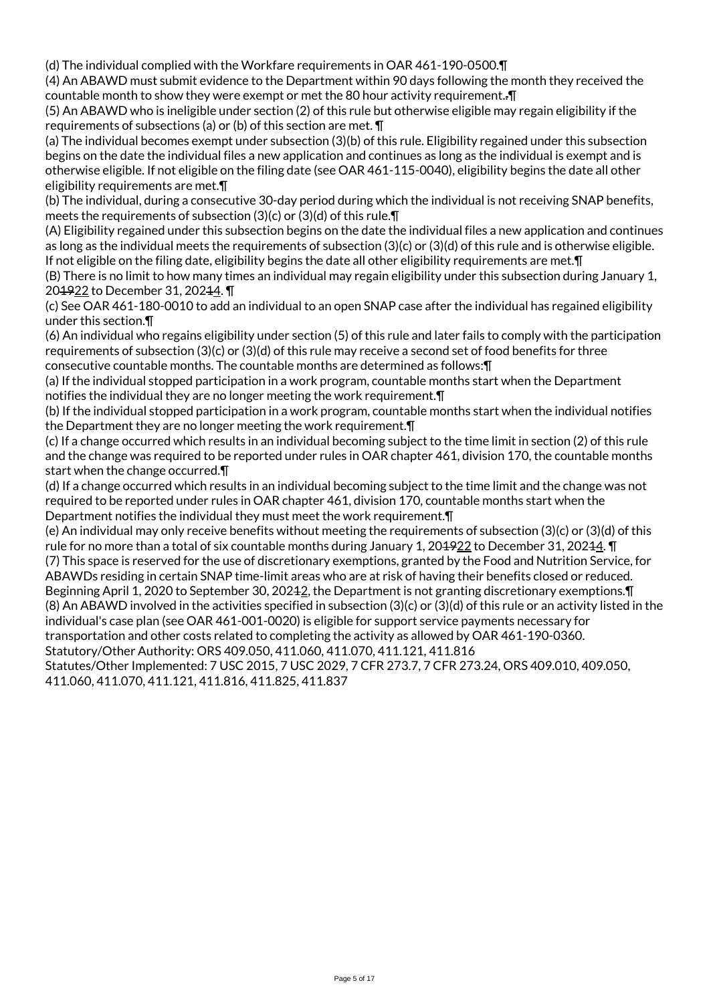(d) The individual complied with the Workfare requirements in OAR 461-190-0500.¶

(4) An ABAWD must submit evidence to the Department within 90 days following the month they received the countable month to show they were exempt or met the 80 hour activity requirement..¶

(5) An ABAWD who is ineligible under section (2) of this rule but otherwise eligible may regain eligibility if the requirements of subsections (a) or (b) of this section are met. ¶

(a) The individual becomes exempt under subsection (3)(b) of this rule. Eligibility regained under this subsection begins on the date the individual files a new application and continues as long as the individual is exempt and is otherwise eligible. If not eligible on the filing date (see OAR 461-115-0040), eligibility begins the date all other eligibility requirements are met.¶

(b) The individual, during a consecutive 30-day period during which the individual is not receiving SNAP benefits, meets the requirements of subsection (3)(c) or (3)(d) of this rule.¶

(A) Eligibility regained under this subsection begins on the date the individual files a new application and continues as long as the individual meets the requirements of subsection (3)(c) or (3)(d) of this rule and is otherwise eligible. If not eligible on the filing date, eligibility begins the date all other eligibility requirements are met.¶

(B) There is no limit to how many times an individual may regain eligibility under this subsection during January 1, 204922 to December 31, 20244.

(c) See OAR 461-180-0010 to add an individual to an open SNAP case after the individual has regained eligibility under this section.¶

(6) An individual who regains eligibility under section (5) of this rule and later fails to comply with the participation requirements of subsection (3)(c) or (3)(d) of this rule may receive a second set of food benefits for three consecutive countable months. The countable months are determined as follows:¶

(a) If the individual stopped participation in a work program, countable months start when the Department notifies the individual they are no longer meeting the work requirement.¶

(b) If the individual stopped participation in a work program, countable months start when the individual notifies the Department they are no longer meeting the work requirement.¶

(c) If a change occurred which results in an individual becoming subject to the time limit in section (2) of this rule and the change was required to be reported under rules in OAR chapter 461, division 170, the countable months start when the change occurred.¶

(d) If a change occurred which results in an individual becoming subject to the time limit and the change was not required to be reported under rules in OAR chapter 461, division 170, countable months start when the Department notifies the individual they must meet the work requirement.¶

(e) An individual may only receive benefits without meeting the requirements of subsection (3)(c) or (3)(d) of this rule for no more than a total of six countable months during January 1, 20<del>1922</del> to December 31, 20244. T (7) This space is reserved for the use of discretionary exemptions, granted by the Food and Nutrition Service, for

ABAWDs residing in certain SNAP time-limit areas who are at risk of having their benefits closed or reduced. Beginning April 1, 2020 to September 30, 20242, the Department is not granting discretionary exemptions.  $\P$ (8) An ABAWD involved in the activities specified in subsection (3)(c) or (3)(d) of this rule or an activity listed in the individual's case plan (see OAR 461-001-0020) is eligible for support service payments necessary for transportation and other costs related to completing the activity as allowed by OAR 461-190-0360.

Statutory/Other Authority: ORS 409.050, 411.060, 411.070, 411.121, 411.816

Statutes/Other Implemented: 7 USC 2015, 7 USC 2029, 7 CFR 273.7, 7 CFR 273.24, ORS 409.010, 409.050, 411.060, 411.070, 411.121, 411.816, 411.825, 411.837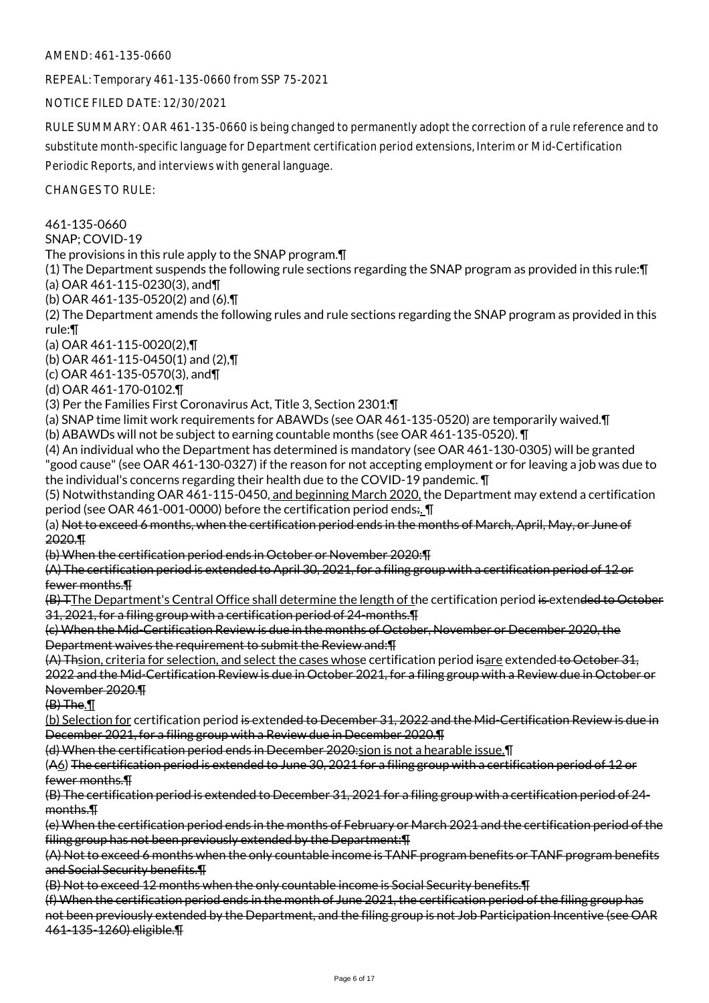AMEND: 461-135-0660

REPEAL: Temporary 461-135-0660 from SSP 75-2021

NOTICE FILED DATE: 12/30/2021

RULE SUMMARY: OAR 461-135-0660 is being changed to permanently adopt the correction of a rule reference and to substitute month-specific language for Department certification period extensions, Interim or Mid-Certification Periodic Reports, and interviews with general language.

CHANGES TO RULE:

461-135-0660

SNAP; COVID-19

The provisions in this rule apply to the SNAP program.¶

(1) The Department suspends the following rule sections regarding the SNAP program as provided in this rule:¶ (a) OAR 461-115-0230(3), and¶

(b) OAR 461-135-0520(2) and (6).¶

(2) The Department amends the following rules and rule sections regarding the SNAP program as provided in this rule:¶

(a) OAR 461-115-0020(2),¶

(b) OAR 461-115-0450(1) and (2),¶

(c) OAR 461-135-0570(3), and¶

(d) OAR 461-170-0102.¶

(3) Per the Families First Coronavirus Act, Title 3, Section 2301:¶

(a) SNAP time limit work requirements for ABAWDs (see OAR 461-135-0520) are temporarily waived.¶

(b) ABAWDs will not be subject to earning countable months (see OAR 461-135-0520). ¶

(4) An individual who the Department has determined is mandatory (see OAR 461-130-0305) will be granted "good cause" (see OAR 461-130-0327) if the reason for not accepting employment or for leaving a job was due to the individual's concerns regarding their health due to the COVID-19 pandemic. ¶

(5) Notwithstanding OAR 461-115-0450, and beginning March 2020, the Department may extend a certification period (see OAR 461-001-0000) before the certification period ends:. I

(a) Not to exceed 6 months, when the certification period ends in the months of March, April, May, or June of 2020.¶

(b) When the certification period ends in October or November 2020:¶

(A) The certification period is extended to April 30, 2021, for a filing group with a certification period of 12 or fewer months.¶

(B) TThe Department's Central Office shall determine the length of the certification period is extended to October 31, 2021, for a filing group with a certification period of 24-months.¶

(c) When the Mid-Certification Review is due in the months of October, November or December 2020, the Department waives the requirement to submit the Review and:¶

(A) Thsion, criteria for selection, and select the cases whose certification period isare extended to October 31, 2022 and the Mid-Certification Review is due in October 2021, for a filing group with a Review due in October or November 2020.¶

 $(B)$  The. $\P$ 

(b) Selection for certification period is extended to December 31, 2022 and the Mid-Certification Review is due in December 2021, for a filing group with a Review due in December 2020.¶

(d) When the certification period ends in December 2020:sion is not a hearable issue.¶

(A6) The certification period is extended to June 30, 2021 for a filing group with a certification period of 12 or fewer months.¶

(B) The certification period is extended to December 31, 2021 for a filing group with a certification period of 24 months.¶

(e) When the certification period ends in the months of February or March 2021 and the certification period of the filing group has not been previously extended by the Department: TH

(A) Not to exceed 6 months when the only countable income is TANF program benefits or TANF program benefits and Social Security benefits.¶

(B) Not to exceed 12 months when the only countable income is Social Security benefits.¶

(f) When the certification period ends in the month of June 2021, the certification period of the filing group has not been previously extended by the Department, and the filing group is not Job Participation Incentive (see OAR 461-135-1260) eligible.¶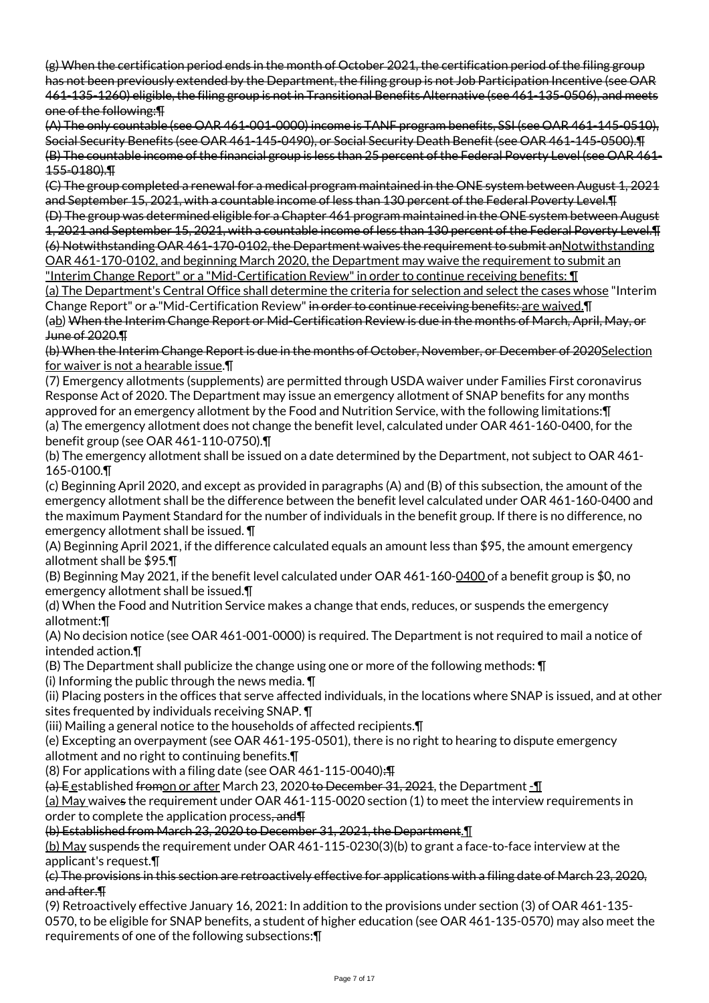(g) When the certification period ends in the month of October 2021, the certification period of the filing group has not been previously extended by the Department, the filing group is not Job Participation Incentive (see OAR 461-135-1260) eligible, the filing group is not in Transitional Benefits Alternative (see 461-135-0506), and meets one of the following:¶

(A) The only countable (see OAR 461-001-0000) income is TANF program benefits, SSI (see OAR 461-145-0510), Social Security Benefits (see OAR 461-145-0490), or Social Security Death Benefit (see OAR 461-145-0500).¶ (B) The countable income of the financial group is less than 25 percent of the Federal Poverty Level (see OAR 461- 155-0180).¶

(C) The group completed a renewal for a medical program maintained in the ONE system between August 1, 2021 and September 15, 2021, with a countable income of less than 130 percent of the Federal Poverty Level.¶

(D) The group was determined eligible for a Chapter 461 program maintained in the ONE system between August 1, 2021 and September 15, 2021, with a countable income of less than 130 percent of the Federal Poverty Level.¶ (6) Notwithstanding OAR 461-170-0102, the Department waives the requirement to submit anNotwithstanding OAR 461-170-0102, and beginning March 2020, the Department may waive the requirement to submit an

"Interim Change Report" or a "Mid-Certification Review" in order to continue receiving benefits: ¶ (a) The Department's Central Office shall determine the criteria for selection and select the cases whose "Interim Change Report" or a "Mid-Certification Review" in order to continue receiving benefits: are waived. I

(ab) When the Interim Change Report or Mid-Certification Review is due in the months of March, April, May, or June of 2020.¶

(b) When the Interim Change Report is due in the months of October, November, or December of 2020Selection for waiver is not a hearable issue.¶

(7) Emergency allotments (supplements) are permitted through USDA waiver under Families First coronavirus Response Act of 2020. The Department may issue an emergency allotment of SNAP benefits for any months approved for an emergency allotment by the Food and Nutrition Service, with the following limitations:¶ (a) The emergency allotment does not change the benefit level, calculated under OAR 461-160-0400, for the benefit group (see OAR 461-110-0750).¶

(b) The emergency allotment shall be issued on a date determined by the Department, not subject to OAR 461- 165-0100.¶

(c) Beginning April 2020, and except as provided in paragraphs (A) and (B) of this subsection, the amount of the emergency allotment shall be the difference between the benefit level calculated under OAR 461-160-0400 and the maximum Payment Standard for the number of individuals in the benefit group. If there is no difference, no emergency allotment shall be issued. ¶

(A) Beginning April 2021, if the difference calculated equals an amount less than \$95, the amount emergency allotment shall be \$95.¶

(B) Beginning May 2021, if the benefit level calculated under OAR 461-160-0400 of a benefit group is \$0, no emergency allotment shall be issued.¶

(d) When the Food and Nutrition Service makes a change that ends, reduces, or suspends the emergency allotment:¶

(A) No decision notice (see OAR 461-001-0000) is required. The Department is not required to mail a notice of intended action.¶

(B) The Department shall publicize the change using one or more of the following methods: ¶

(i) Informing the public through the news media.  $\P$ 

(ii) Placing posters in the offices that serve affected individuals, in the locations where SNAP is issued, and at other sites frequented by individuals receiving SNAP. ¶

(iii) Mailing a general notice to the households of affected recipients.¶

(e) Excepting an overpayment (see OAR 461-195-0501), there is no right to hearing to dispute emergency allotment and no right to continuing benefits.¶

(8) For applications with a filing date (see OAR 461-115-0040):¶

(a) E established fromon or after March 23, 2020 to December 31, 2021, the Department -

(a) May waives the requirement under OAR 461-115-0020 section (1) to meet the interview requirements in order to complete the application process, and T

(b) Established from March 23, 2020 to December 31, 2021, the Department.¶

(b) May suspends the requirement under OAR 461-115-0230(3)(b) to grant a face-to-face interview at the applicant's request.¶

(c) The provisions in this section are retroactively effective for applications with a filing date of March 23, 2020, and after.¶

(9) Retroactively effective January 16, 2021: In addition to the provisions under section (3) of OAR 461-135- 0570, to be eligible for SNAP benefits, a student of higher education (see OAR 461-135-0570) may also meet the requirements of one of the following subsections:¶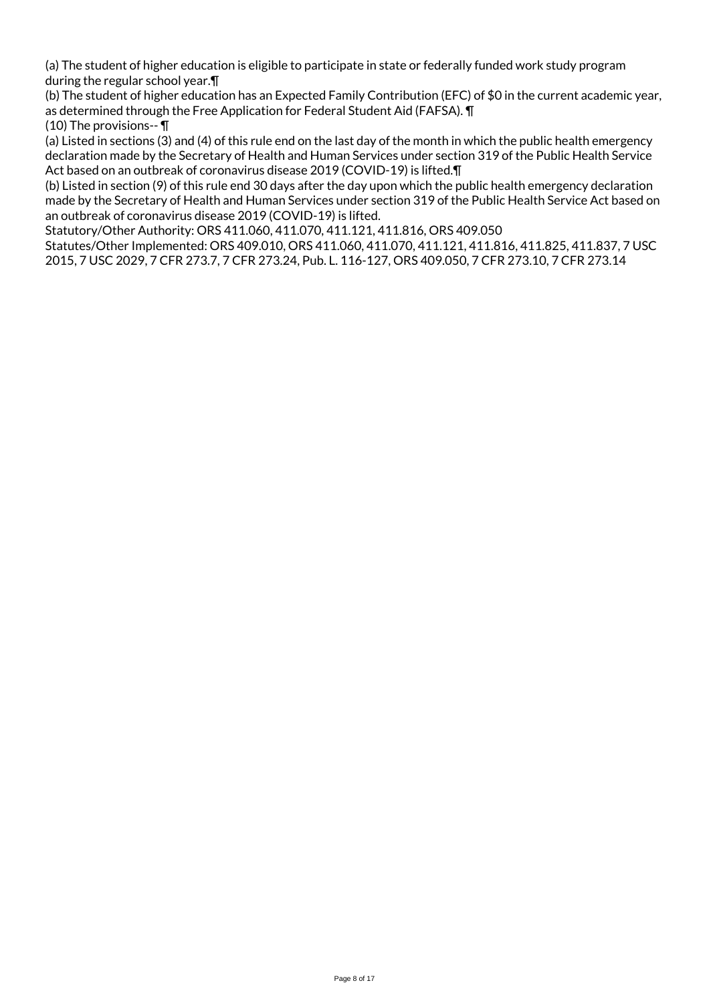(a) The student of higher education is eligible to participate in state or federally funded work study program during the regular school year.¶

(b) The student of higher education has an Expected Family Contribution (EFC) of \$0 in the current academic year, as determined through the Free Application for Federal Student Aid (FAFSA). ¶

(10) The provisions-- ¶

(a) Listed in sections (3) and (4) of this rule end on the last day of the month in which the public health emergency declaration made by the Secretary of Health and Human Services under section 319 of the Public Health Service Act based on an outbreak of coronavirus disease 2019 (COVID-19) is lifted.¶

(b) Listed in section (9) of this rule end 30 days after the day upon which the public health emergency declaration made by the Secretary of Health and Human Services under section 319 of the Public Health Service Act based on an outbreak of coronavirus disease 2019 (COVID-19) is lifted.

Statutory/Other Authority: ORS 411.060, 411.070, 411.121, 411.816, ORS 409.050

Statutes/Other Implemented: ORS 409.010, ORS 411.060, 411.070, 411.121, 411.816, 411.825, 411.837, 7 USC 2015, 7 USC 2029, 7 CFR 273.7, 7 CFR 273.24, Pub. L. 116-127, ORS 409.050, 7 CFR 273.10, 7 CFR 273.14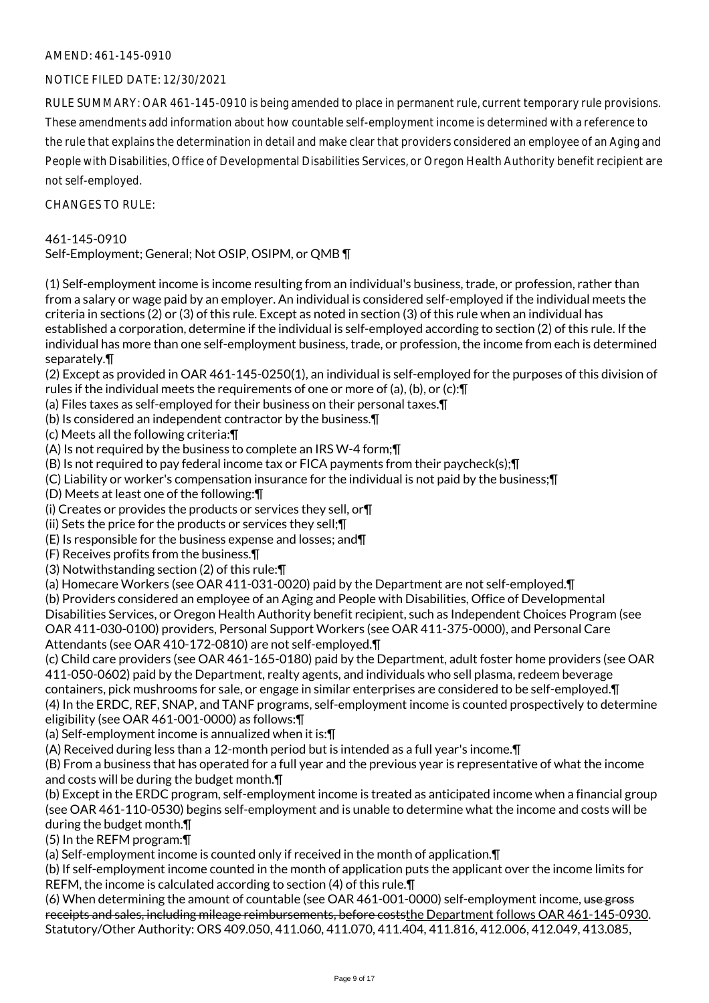# AMEND: 461-145-0910

# NOTICE FILED DATE: 12/30/2021

RULE SUMMARY: OAR 461-145-0910 is being amended to place in permanent rule, current temporary rule provisions. These amendments add information about how countable self-employment income is determined with a reference to the rule that explains the determination in detail and make clear that providers considered an employee of an Aging and People with Disabilities, Office of Developmental Disabilities Services, or Oregon Health Authority benefit recipient are not self-employed.

 $CHANGESTORUIF$ 

#### 461-145-0910

Self-Employment; General; Not OSIP, OSIPM, or QMB ¶

(1) Self-employment income is income resulting from an individual's business, trade, or profession, rather than from a salary or wage paid by an employer. An individual is considered self-employed if the individual meets the criteria in sections (2) or (3) of this rule. Except as noted in section (3) of this rule when an individual has established a corporation, determine if the individual is self-employed according to section (2) of this rule. If the individual has more than one self-employment business, trade, or profession, the income from each is determined separately.¶

(2) Except as provided in OAR 461-145-0250(1), an individual is self-employed for the purposes of this division of rules if the individual meets the requirements of one or more of (a), (b), or (c):¶

- (a) Files taxes as self-employed for their business on their personal taxes.¶
- (b) Is considered an independent contractor by the business.¶
- (c) Meets all the following criteria:¶

(A) Is not required by the business to complete an IRS W-4 form;¶

- (B) Is not required to pay federal income tax or FICA payments from their paycheck(s);¶
- (C) Liability or worker's compensation insurance for the individual is not paid by the business;¶
- (D) Meets at least one of the following:¶
- (i) Creates or provides the products or services they sell, or¶
- (ii) Sets the price for the products or services they sell;¶
- (E) Is responsible for the business expense and losses; and¶
- (F) Receives profits from the business.¶
- (3) Notwithstanding section (2) of this rule:¶

(a) Homecare Workers (see OAR 411-031-0020) paid by the Department are not self-employed.¶

(b) Providers considered an employee of an Aging and People with Disabilities, Office of Developmental Disabilities Services, or Oregon Health Authority benefit recipient, such as Independent Choices Program (see OAR 411-030-0100) providers, Personal Support Workers (see OAR 411-375-0000), and Personal Care Attendants (see OAR 410-172-0810) are not self-employed.¶

(c) Child care providers (see OAR 461-165-0180) paid by the Department, adult foster home providers (see OAR 411-050-0602) paid by the Department, realty agents, and individuals who sell plasma, redeem beverage containers, pick mushrooms for sale, or engage in similar enterprises are considered to be self-employed.¶

(4) In the ERDC, REF, SNAP, and TANF programs, self-employment income is counted prospectively to determine eligibility (see OAR 461-001-0000) as follows:¶

(a) Self-employment income is annualized when it is:¶

(A) Received during less than a 12-month period but is intended as a full year's income.¶

(B) From a business that has operated for a full year and the previous year is representative of what the income and costs will be during the budget month.¶

(b) Except in the ERDC program, self-employment income is treated as anticipated income when a financial group (see OAR 461-110-0530) begins self-employment and is unable to determine what the income and costs will be during the budget month.¶

(5) In the REFM program:¶

(a) Self-employment income is counted only if received in the month of application.¶

(b) If self-employment income counted in the month of application puts the applicant over the income limits for REFM, the income is calculated according to section (4) of this rule.¶

(6) When determining the amount of countable (see OAR 461-001-0000) self-employment income, use gross receipts and sales, including mileage reimbursements, before coststhe Department follows OAR 461-145-0930. Statutory/Other Authority: ORS 409.050, 411.060, 411.070, 411.404, 411.816, 412.006, 412.049, 413.085,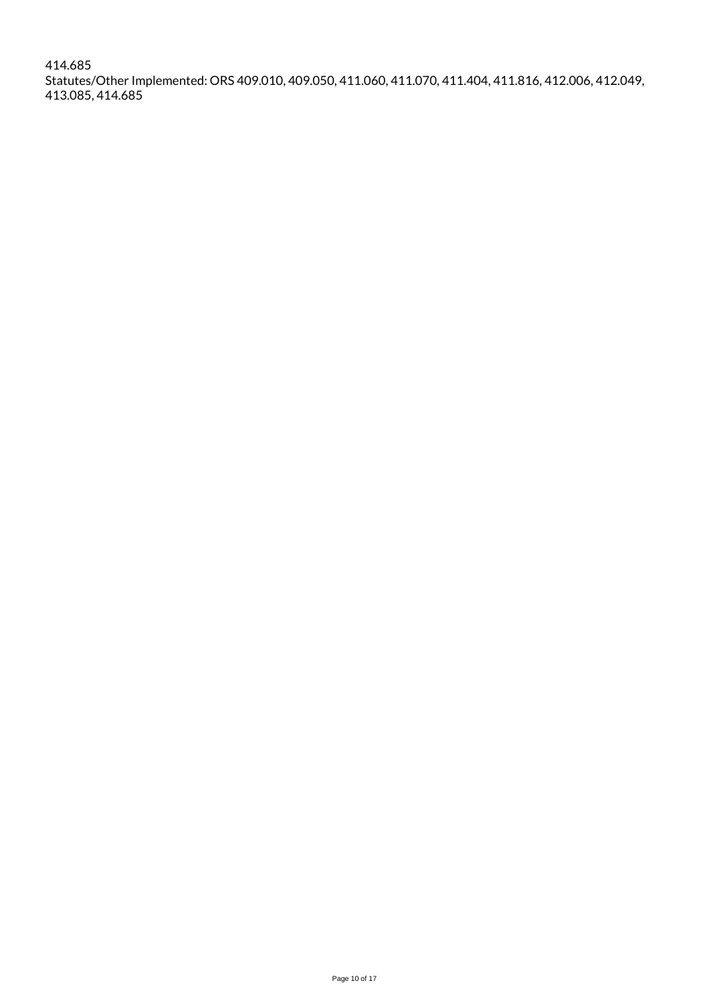414.685 Statutes/Other Implemented: ORS 409.010, 409.050, 411.060, 411.070, 411.404, 411.816, 412.006, 412.049, 413.085, 414.685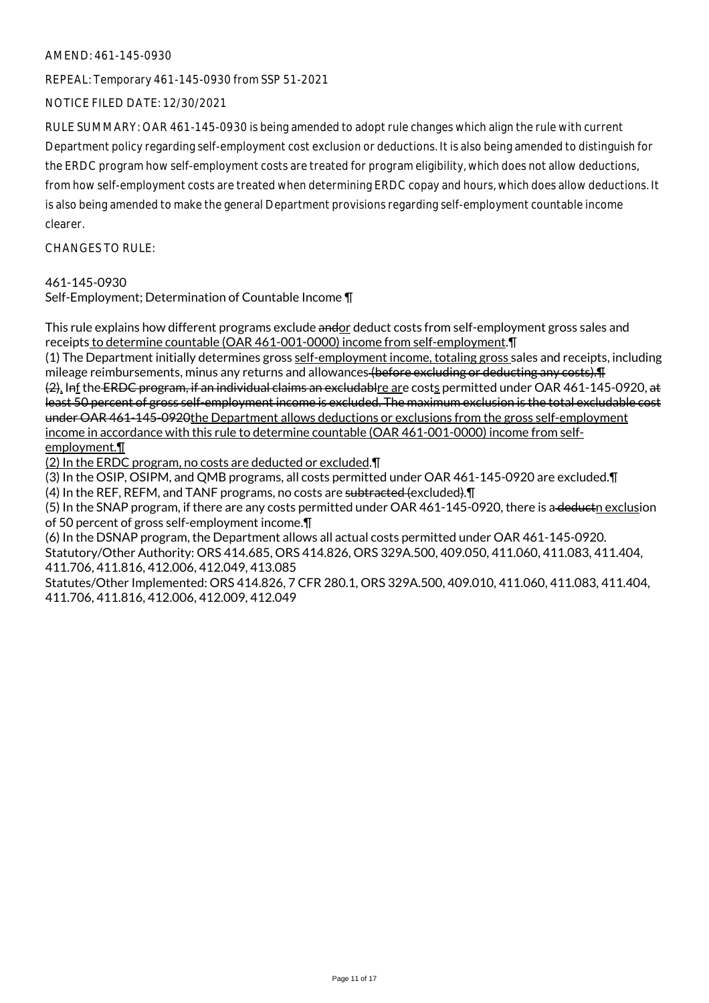#### AMEND: 461-145-0930

REPEAL: Temporary 461-145-0930 from SSP 51-2021

NOTICE FILED DATE: 12/30/2021

RULE SUMMARY: OAR 461-145-0930 is being amended to adopt rule changes which align the rule with current Department policy regarding self-employment cost exclusion or deductions. It is also being amended to distinguish for the ERDC program how self-employment costs are treated for program eligibility, which does not allow deductions, from how self-employment costs are treated when determining ERDC copay and hours, which does allow deductions. It is also being amended to make the general Department provisions regarding self-employment countable income clearer.

CHANGES TO RULE:

#### 461-145-0930

Self-Employment; Determination of Countable Income ¶

This rule explains how different programs exclude andor deduct costs from self-employment gross sales and receipts to determine countable (OAR 461-001-0000) income from self-employment.¶

(1) The Department initially determines gross self-employment income, totaling gross sales and receipts, including mileage reimbursements, minus any returns and allowances (before excluding or deducting any costs). The minima (2). Inf the ERDC program, if an individual claims an excludablre are costs permitted under OAR 461-145-0920, at least 50 percent of gross self-employment income is excluded. The maximum exclusion is the total excludable cost under OAR 461-145-0920the Department allows deductions or exclusions from the gross self-employment income in accordance with this rule to determine countable (OAR 461-001-0000) income from selfemployment.¶

(2) In the ERDC program, no costs are deducted or excluded.¶

(3) In the OSIP, OSIPM, and QMB programs, all costs permitted under OAR 461-145-0920 are excluded.¶

(4) In the REF, REFM, and TANF programs, no costs are subtracted (excluded). In

(5) In the SNAP program, if there are any costs permitted under OAR 461-145-0920, there is a deductn exclusion of 50 percent of gross self-employment income.¶

(6) In the DSNAP program, the Department allows all actual costs permitted under OAR 461-145-0920. Statutory/Other Authority: ORS 414.685, ORS 414.826, ORS 329A.500, 409.050, 411.060, 411.083, 411.404, 411.706, 411.816, 412.006, 412.049, 413.085

Statutes/Other Implemented: ORS 414.826, 7 CFR 280.1, ORS 329A.500, 409.010, 411.060, 411.083, 411.404, 411.706, 411.816, 412.006, 412.009, 412.049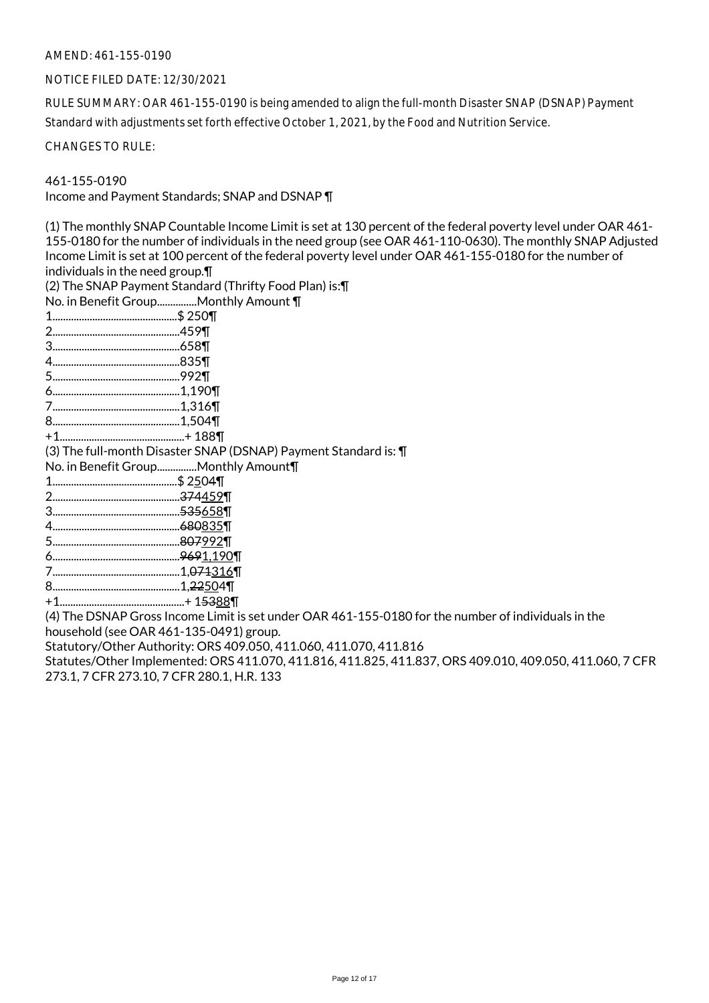#### AMEND: 461-155-0190

#### NOTICE FILED DATE: 12/30/2021

RULE SUMMARY: OAR 461-155-0190 is being amended to align the full-month Disaster SNAP (DSNAP) Payment Standard with adjustments set forth effective October 1, 2021, by the Food and Nutrition Service.

CHANGES TO RULE:

461-155-0190

Income and Payment Standards; SNAP and DSNAP ¶

(1) The monthly SNAP Countable Income Limit is set at 130 percent of the federal poverty level under OAR 461- 155-0180 for the number of individuals in the need group (see OAR 461-110-0630). The monthly SNAP Adjusted Income Limit is set at 100 percent of the federal poverty level under OAR 461-155-0180 for the number of individuals in the need group.¶ (2) The SNAP Payment Standard (Thrifty Food Plan) is:¶ No. in Benefit Group...............Monthly Amount ¶ 1...............................................\$ 250¶ 2................................................459¶ 3................................................658¶ 4................................................835¶ 5................................................992¶ 6................................................1,190¶ 7................................................1,316¶ 8................................................1,504¶ +1...............................................+ 188¶ (3) The full-month Disaster SNAP (DSNAP) Payment Standard is: ¶ No. in Benefit Group...............Monthly Amount¶ 1...............................................\$ 2504¶ 2................................................374459¶ 3................................................535658¶ 4................................................680835¶ 5................................................807992¶ 6................................................9691,190¶ 7................................................1,071316¶ 8................................................1,22504¶ +1...............................................+ 15388¶ (4) The DSNAP Gross Income Limit is set under OAR 461-155-0180 for the number of individuals in the household (see OAR 461-135-0491) group.

Statutory/Other Authority: ORS 409.050, 411.060, 411.070, 411.816

Statutes/Other Implemented: ORS 411.070, 411.816, 411.825, 411.837, ORS 409.010, 409.050, 411.060, 7 CFR 273.1, 7 CFR 273.10, 7 CFR 280.1, H.R. 133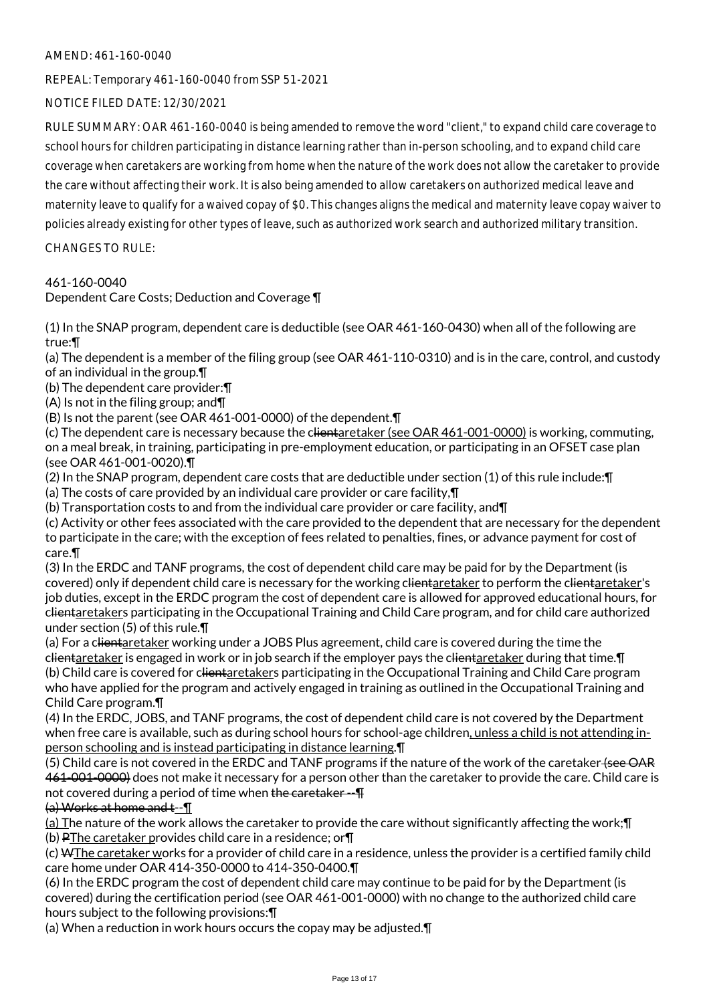# AMEND: 461-160-0040

REPEAL: Temporary 461-160-0040 from SSP 51-2021

NOTICE FILED DATE: 12/30/2021

RULE SUMMARY: OAR 461-160-0040 is being amended to remove the word "client," to expand child care coverage to school hours for children participating in distance learning rather than in-person schooling, and to expand child care coverage when caretakers are working from home when the nature of the work does not allow the caretaker to provide the care without affecting their work. It is also being amended to allow caretakers on authorized medical leave and maternity leave to qualify for a waived copay of \$0. This changes aligns the medical and maternity leave copay waiver to policies already existing for other types of leave, such as authorized work search and authorized military transition.

CHANGES TO RULE:

461-160-0040

Dependent Care Costs; Deduction and Coverage ¶

(1) In the SNAP program, dependent care is deductible (see OAR 461-160-0430) when all of the following are true:¶

(a) The dependent is a member of the filing group (see OAR 461-110-0310) and is in the care, control, and custody of an individual in the group.¶

(b) The dependent care provider:¶

(A) Is not in the filing group; and¶

(B) Is not the parent (see OAR 461-001-0000) of the dependent.¶

(c) The dependent care is necessary because the clientaretaker (see OAR 461-001-0000) is working, commuting, on a meal break, in training, participating in pre-employment education, or participating in an OFSET case plan (see OAR 461-001-0020).¶

(2) In the SNAP program, dependent care costs that are deductible under section (1) of this rule include:¶

(a) The costs of care provided by an individual care provider or care facility,¶

(b) Transportation costs to and from the individual care provider or care facility, and¶

(c) Activity or other fees associated with the care provided to the dependent that are necessary for the dependent to participate in the care; with the exception of fees related to penalties, fines, or advance payment for cost of care.¶

(3) In the ERDC and TANF programs, the cost of dependent child care may be paid for by the Department (is covered) only if dependent child care is necessary for the working clientaretaker to perform the clientaretaker's job duties, except in the ERDC program the cost of dependent care is allowed for approved educational hours, for clientaretakers participating in the Occupational Training and Child Care program, and for child care authorized under section (5) of this rule.¶

(a) For a clientaretaker working under a JOBS Plus agreement, child care is covered during the time the clientaretaker is engaged in work or in job search if the employer pays the clientaretaker during that time. I (b) Child care is covered for clientaretakers participating in the Occupational Training and Child Care program who have applied for the program and actively engaged in training as outlined in the Occupational Training and Child Care program.¶

(4) In the ERDC, JOBS, and TANF programs, the cost of dependent child care is not covered by the Department when free care is available, such as during school hours for school-age children, unless a child is not attending inperson schooling and is instead participating in distance learning.¶

(5) Child care is not covered in the ERDC and TANF programs if the nature of the work of the caretaker (see OAR 461-001-0000) does not make it necessary for a person other than the caretaker to provide the care. Child care is not covered during a period of time when the caretaker --

(a) Works at home and t--¶

(a) The nature of the work allows the caretaker to provide the care without significantly affecting the work;¶ (b) PThe caretaker provides child care in a residence; or¶

(c) WThe caretaker works for a provider of child care in a residence, unless the provider is a certified family child care home under OAR 414-350-0000 to 414-350-0400.¶

(6) In the ERDC program the cost of dependent child care may continue to be paid for by the Department (is covered) during the certification period (see OAR 461-001-0000) with no change to the authorized child care hours subject to the following provisions:¶

(a) When a reduction in work hours occurs the copay may be adjusted.¶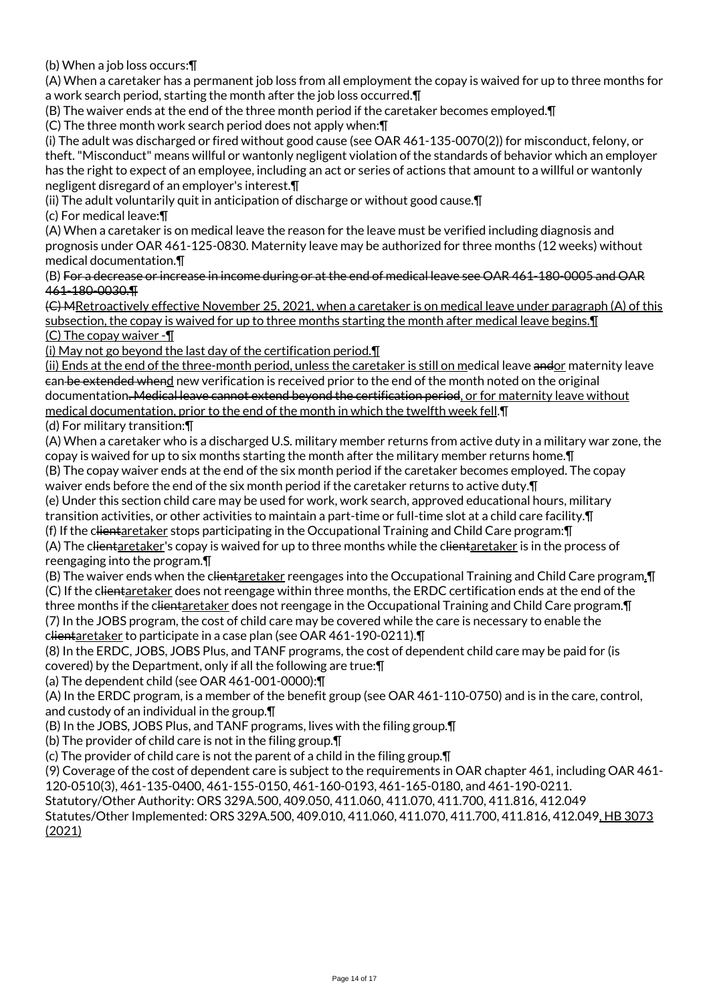(b) When a job loss occurs:¶

(A) When a caretaker has a permanent job loss from all employment the copay is waived for up to three months for a work search period, starting the month after the job loss occurred.¶

(B) The waiver ends at the end of the three month period if the caretaker becomes employed.¶

(C) The three month work search period does not apply when:¶

(i) The adult was discharged or fired without good cause (see OAR 461-135-0070(2)) for misconduct, felony, or theft. "Misconduct" means willful or wantonly negligent violation of the standards of behavior which an employer has the right to expect of an employee, including an act or series of actions that amount to a willful or wantonly negligent disregard of an employer's interest.¶

(ii) The adult voluntarily quit in anticipation of discharge or without good cause.¶

(c) For medical leave:¶

(A) When a caretaker is on medical leave the reason for the leave must be verified including diagnosis and prognosis under OAR 461-125-0830. Maternity leave may be authorized for three months (12 weeks) without medical documentation.¶

(B) For a decrease or increase in income during or at the end of medical leave see OAR 461-180-0005 and OAR 461-180-0030.¶

(C) MRetroactively effective November 25, 2021, when a caretaker is on medical leave under paragraph (A) of this subsection, the copay is waived for up to three months starting the month after medical leave begins.¶ (C) The copay waiver -¶

(i) May not go beyond the last day of the certification period.¶

(ii) Ends at the end of the three-month period, unless the caretaker is still on medical leave andor maternity leave can be extended whend new verification is received prior to the end of the month noted on the original documentation. Medical leave cannot extend beyond the certification period, or for maternity leave without medical documentation, prior to the end of the month in which the twelfth week fell.¶

(d) For military transition:¶

(A) When a caretaker who is a discharged U.S. military member returns from active duty in a military war zone, the copay is waived for up to six months starting the month after the military member returns home.¶

(B) The copay waiver ends at the end of the six month period if the caretaker becomes employed. The copay waiver ends before the end of the six month period if the caretaker returns to active duty. $\P$ 

(e) Under this section child care may be used for work, work search, approved educational hours, military transition activities, or other activities to maintain a part-time or full-time slot at a child care facility.¶

(f) If the clientaretaker stops participating in the Occupational Training and Child Care program:¶

(A) The clientaretaker's copay is waived for up to three months while the clientaretaker is in the process of reengaging into the program.¶

(B) The waiver ends when the c<del>lientaretaker</del> reengages into the Occupational Training and Child Care program. I (C) If the clientaretaker does not reengage within three months, the ERDC certification ends at the end of the three months if the clientaretaker does not reengage in the Occupational Training and Child Care program. In (7) In the JOBS program, the cost of child care may be covered while the care is necessary to enable the clientaretaker to participate in a case plan (see OAR 461-190-0211).

(8) In the ERDC, JOBS, JOBS Plus, and TANF programs, the cost of dependent child care may be paid for (is covered) by the Department, only if all the following are true:¶

(a) The dependent child (see OAR 461-001-0000):¶

(A) In the ERDC program, is a member of the benefit group (see OAR 461-110-0750) and is in the care, control, and custody of an individual in the group.¶

(B) In the JOBS, JOBS Plus, and TANF programs, lives with the filing group.¶

(b) The provider of child care is not in the filing group.¶

(c) The provider of child care is not the parent of a child in the filing group.¶

(9) Coverage of the cost of dependent care is subject to the requirements in OAR chapter 461, including OAR 461- 120-0510(3), 461-135-0400, 461-155-0150, 461-160-0193, 461-165-0180, and 461-190-0211.

Statutory/Other Authority: ORS 329A.500, 409.050, 411.060, 411.070, 411.700, 411.816, 412.049

Statutes/Other Implemented: ORS 329A.500, 409.010, 411.060, 411.070, 411.700, 411.816, 412.049, HB 3073 (2021)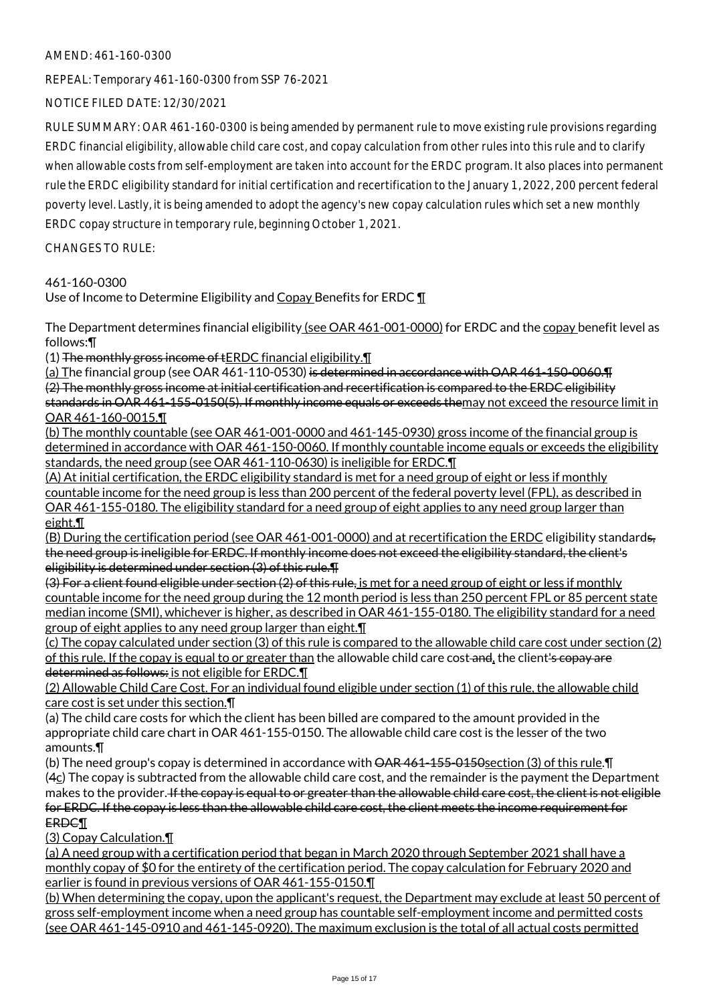# AMEND: 461-160-0300

REPEAL: Temporary 461-160-0300 from SSP 76-2021

NOTICE FILED DATE: 12/30/2021

RULE SUMMARY: OAR 461-160-0300 is being amended by permanent rule to move existing rule provisions regarding ERDC financial eligibility, allowable child care cost, and copay calculation from other rules into this rule and to clarify when allowable costs from self-employment are taken into account for the ERDC program. It also places into permanent rule the ERDC eligibility standard for initial certification and recertification to the January 1, 2022, 200 percent federal poverty level. Lastly, it is being amended to adopt the agency's new copay calculation rules which set a new monthly ERDC copay structure in temporary rule, beginning October 1, 2021.

CHANGES TO RULE:

# 461-160-0300

Use of Income to Determine Eligibility and Copay Benefits for ERDC ¶

The Department determines financial eligibility (see OAR 461-001-0000) for ERDC and the copay benefit level as follows:¶

(1) The monthly gross income of  $\overline{\text{tERDC}}$  financial eligibility. $\P$ 

(a) The financial group (see OAR 461-110-0530) is determined in accordance with OAR 461-150-0060. The (2) The monthly gross income at initial certification and recertification is compared to the ERDC eligibility standards in OAR 461-155-0150(5). If monthly income equals or exceeds themay not exceed the resource limit in OAR 461-160-0015.¶

(b) The monthly countable (see OAR 461-001-0000 and 461-145-0930) gross income of the financial group is determined in accordance with OAR 461-150-0060. If monthly countable income equals or exceeds the eligibility standards, the need group (see OAR 461-110-0630) is ineligible for ERDC.¶

(A) At initial certification, the ERDC eligibility standard is met for a need group of eight or less if monthly countable income for the need group is less than 200 percent of the federal poverty level (FPL), as described in OAR 461-155-0180. The eligibility standard for a need group of eight applies to any need group larger than eight.¶

(B) During the certification period (see OAR 461-001-0000) and at recertification the ERDC eligibility standards, the need group is ineligible for ERDC. If monthly income does not exceed the eligibility standard, the client's eligibility is determined under section (3) of this rule.¶

(3) For a client found eligible under section (2) of this rule, is met for a need group of eight or less if monthly countable income for the need group during the 12 month period is less than 250 percent FPL or 85 percent state median income (SMI), whichever is higher, as described in OAR 461-155-0180. The eligibility standard for a need group of eight applies to any need group larger than eight.¶

(c) The copay calculated under section (3) of this rule is compared to the allowable child care cost under section (2) of this rule. If the copay is equal to or greater than the allowable child care cost-and, the client's copay are determined as follows: is not eligible for ERDC.¶

(2) Allowable Child Care Cost. For an individual found eligible under section (1) of this rule, the allowable child care cost is set under this section.¶

(a) The child care costs for which the client has been billed are compared to the amount provided in the appropriate child care chart in OAR 461-155-0150. The allowable child care cost is the lesser of the two amounts.¶

(b) The need group's copay is determined in accordance with  $\overline{\text{OAR}}$  461-155-0150section (3) of this rule. The (4c) The copay is subtracted from the allowable child care cost, and the remainder is the payment the Department makes to the provider. If the copay is equal to or greater than the allowable child care cost, the client is not eligible for ERDC. If the copay is less than the allowable child care cost, the client meets the income requirement for ERDC¶

(3) Copay Calculation.¶

(a) A need group with a certification period that began in March 2020 through September 2021 shall have a monthly copay of \$0 for the entirety of the certification period. The copay calculation for February 2020 and earlier is found in previous versions of OAR 461-155-0150.¶

(b) When determining the copay, upon the applicant's request, the Department may exclude at least 50 percent of gross self-employment income when a need group has countable self-employment income and permitted costs (see OAR 461-145-0910 and 461-145-0920). The maximum exclusion is the total of all actual costs permitted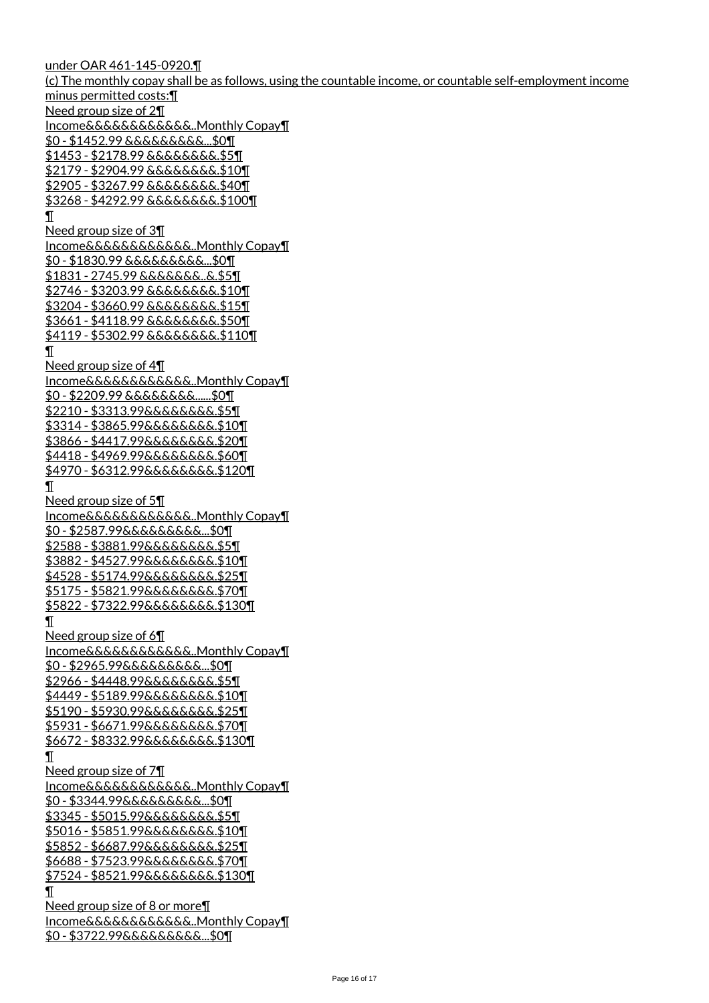under OAR 461-145-0920.¶ (c) The monthly copay shall be as follows, using the countable income, or countable self-employment income minus permitted costs:¶ Need group size of 2¶ Income&&&&&&&&&&&&..Monthly Copay¶ \$0 - \$1452.99 &&&&&&&&&...\$0¶ \$1453 - \$2178.99 &&&&&&&&.\$5¶ \$2179 - \$2904.99 &&&&&&&&.\$10¶ \$2905 - \$3267.99 &&&&&&&&.\$40¶ \$3268 - \$4292.99 &&&&&&&&.\$100¶ ¶ Need group size of 3¶ Income&&&&&&&&&&&&..Monthly Copay¶ \$0 - \$1830.99 &&&&&&&&&...\$0¶ \$1831 - 2745.99 &&&&&&&..&.\$5¶ \$2746 - \$3203.99 &&&&&&&&.\$10¶ \$3204 - \$3660.99 &&&&&&&&.\$15¶ \$3661 - \$4118.99 &&&&&&&&.\$50¶ \$4119 - \$5302.99 &&&&&&&&.\$110¶ ¶ Need group size of 4¶ Income&&&&&&&&&&&&..Monthly Copay¶ \$0 - \$2209.99 &&&&&&&&......\$0¶ \$2210 - \$3313.99&&&&&&&&.\$5¶ \$3314 - \$3865.99&&&&&&&&.\$10¶ \$3866 - \$4417.99&&&&&&&&.\$20¶ \$4418 - \$4969.99&&&&&&&&.\$60¶ \$4970 - \$6312.99&&&&&&&&.\$120¶  $\mathbf I$ Need group size of 5¶ Income&&&&&&&&&&&&..Monthly Copay¶ \$0 - \$2587.99&&&&&&&&&...\$0¶ \$2588 - \$3881.99&&&&&&&&.\$5¶ \$3882 - \$4527.99&&&&&&&&.\$10¶ \$4528 - \$5174.99&&&&&&&&.\$25¶ \$5175 - \$5821.99&&&&&&&&.\$70¶ \$5822 - \$7322.99&&&&&&&&.\$130¶ ¶ Need group size of 6¶ Income&&&&&&&&&&&&..Monthly Copay¶ \$0 - \$2965.99&&&&&&&&&...\$0¶ \$2966 - \$4448.99&&&&&&&&.\$5¶ \$4449 - \$5189.99&&&&&&&&.\$10¶ \$5190 - \$5930.99&&&&&&&&.\$25¶ \$5931 - \$6671.99&&&&&&&&.\$70¶ \$6672 - \$8332.99&&&&&&&&.\$130¶ ¶ Need group size of 7¶ Income&&&&&&&&&&&&..Monthly Copay¶ \$0 - \$3344.99&&&&&&&&&...\$0¶ \$3345 - \$5015.99&&&&&&&&.\$5¶ \$5016 - \$5851.99&&&&&&&&.\$10¶ \$5852 - \$6687.99&&&&&&&&.\$25¶ \$6688 - \$7523.99&&&&&&&&.\$70¶ \$7524 - \$8521.99&&&&&&&&.\$130¶ ¶ Need group size of 8 or more¶ Income&&&&&&&&&&&&..Monthly Copay¶ \$0 - \$3722.99&&&&&&&&&...\$0¶